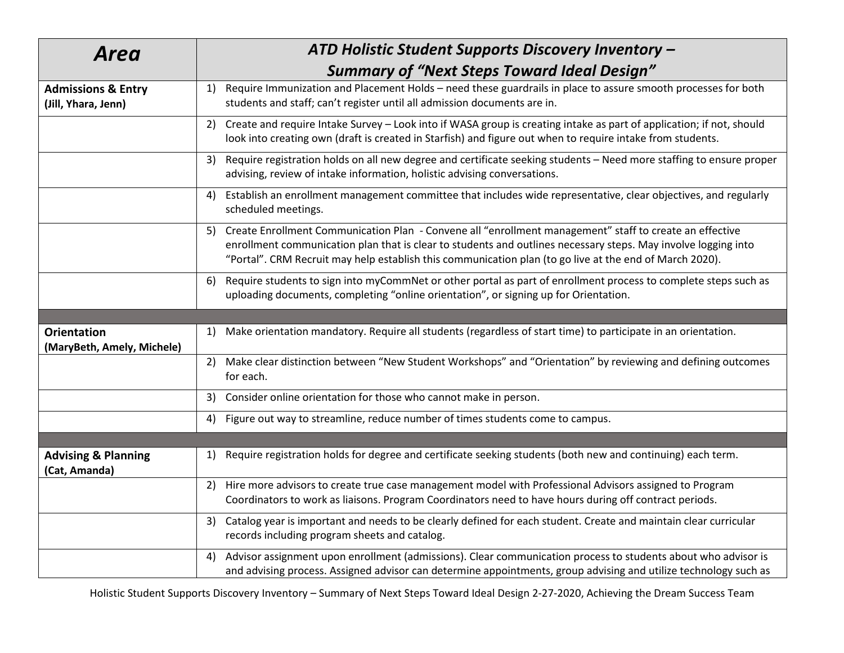| <b>Area</b>                                          | ATD Holistic Student Supports Discovery Inventory -                                                                                                                                                                                                                                                                                        |
|------------------------------------------------------|--------------------------------------------------------------------------------------------------------------------------------------------------------------------------------------------------------------------------------------------------------------------------------------------------------------------------------------------|
|                                                      | <b>Summary of "Next Steps Toward Ideal Design"</b>                                                                                                                                                                                                                                                                                         |
| <b>Admissions &amp; Entry</b><br>(Jill, Yhara, Jenn) | Require Immunization and Placement Holds - need these guardrails in place to assure smooth processes for both<br>1)<br>students and staff; can't register until all admission documents are in.                                                                                                                                            |
|                                                      | Create and require Intake Survey - Look into if WASA group is creating intake as part of application; if not, should<br>2)<br>look into creating own (draft is created in Starfish) and figure out when to require intake from students.                                                                                                   |
|                                                      | Require registration holds on all new degree and certificate seeking students - Need more staffing to ensure proper<br>3)<br>advising, review of intake information, holistic advising conversations.                                                                                                                                      |
|                                                      | Establish an enrollment management committee that includes wide representative, clear objectives, and regularly<br>4)<br>scheduled meetings.                                                                                                                                                                                               |
|                                                      | Create Enrollment Communication Plan - Convene all "enrollment management" staff to create an effective<br>5)<br>enrollment communication plan that is clear to students and outlines necessary steps. May involve logging into<br>"Portal". CRM Recruit may help establish this communication plan (to go live at the end of March 2020). |
|                                                      | Require students to sign into myCommNet or other portal as part of enrollment process to complete steps such as<br>6)<br>uploading documents, completing "online orientation", or signing up for Orientation.                                                                                                                              |
|                                                      |                                                                                                                                                                                                                                                                                                                                            |
| <b>Orientation</b><br>(MaryBeth, Amely, Michele)     | Make orientation mandatory. Require all students (regardless of start time) to participate in an orientation.<br>1)                                                                                                                                                                                                                        |
|                                                      | Make clear distinction between "New Student Workshops" and "Orientation" by reviewing and defining outcomes<br>2)<br>for each.                                                                                                                                                                                                             |
|                                                      | Consider online orientation for those who cannot make in person.<br>3)                                                                                                                                                                                                                                                                     |
|                                                      | Figure out way to streamline, reduce number of times students come to campus.<br>4)                                                                                                                                                                                                                                                        |
|                                                      |                                                                                                                                                                                                                                                                                                                                            |
| <b>Advising &amp; Planning</b><br>(Cat, Amanda)      | Require registration holds for degree and certificate seeking students (both new and continuing) each term.<br>1)                                                                                                                                                                                                                          |
|                                                      | Hire more advisors to create true case management model with Professional Advisors assigned to Program<br>2)                                                                                                                                                                                                                               |
|                                                      | Coordinators to work as liaisons. Program Coordinators need to have hours during off contract periods.                                                                                                                                                                                                                                     |
|                                                      | Catalog year is important and needs to be clearly defined for each student. Create and maintain clear curricular<br>3)<br>records including program sheets and catalog.                                                                                                                                                                    |
|                                                      | Advisor assignment upon enrollment (admissions). Clear communication process to students about who advisor is<br>4)<br>and advising process. Assigned advisor can determine appointments, group advising and utilize technology such as                                                                                                    |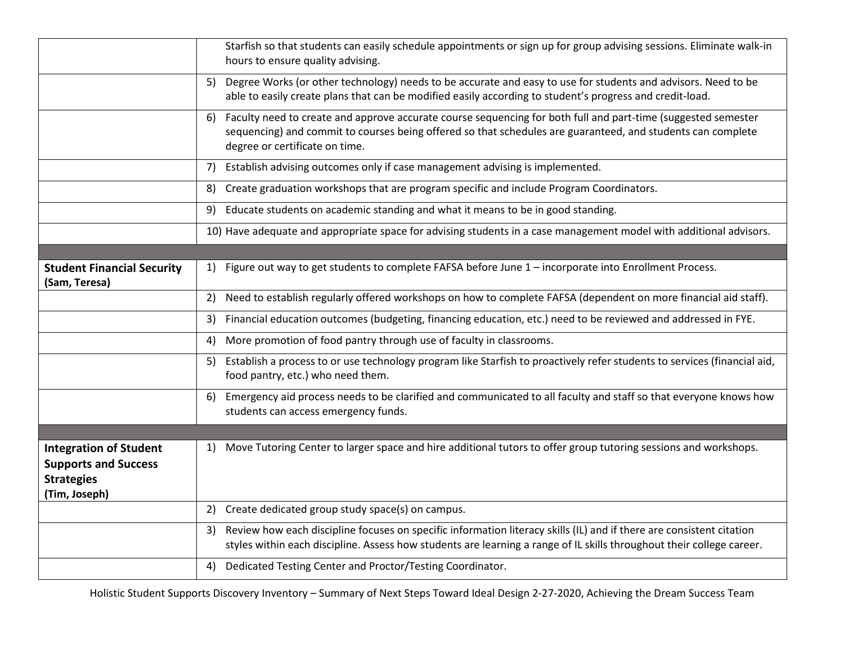|                                                                                                    | Starfish so that students can easily schedule appointments or sign up for group advising sessions. Eliminate walk-in<br>hours to ensure quality advising.                                                                                                            |
|----------------------------------------------------------------------------------------------------|----------------------------------------------------------------------------------------------------------------------------------------------------------------------------------------------------------------------------------------------------------------------|
|                                                                                                    | Degree Works (or other technology) needs to be accurate and easy to use for students and advisors. Need to be<br>5)<br>able to easily create plans that can be modified easily according to student's progress and credit-load.                                      |
|                                                                                                    | Faculty need to create and approve accurate course sequencing for both full and part-time (suggested semester<br>6)<br>sequencing) and commit to courses being offered so that schedules are guaranteed, and students can complete<br>degree or certificate on time. |
|                                                                                                    | Establish advising outcomes only if case management advising is implemented.<br>7)                                                                                                                                                                                   |
|                                                                                                    | Create graduation workshops that are program specific and include Program Coordinators.<br>8)                                                                                                                                                                        |
|                                                                                                    | Educate students on academic standing and what it means to be in good standing.<br>9)                                                                                                                                                                                |
|                                                                                                    | 10) Have adequate and appropriate space for advising students in a case management model with additional advisors.                                                                                                                                                   |
|                                                                                                    |                                                                                                                                                                                                                                                                      |
| <b>Student Financial Security</b><br>(Sam, Teresa)                                                 | Figure out way to get students to complete FAFSA before June 1 - incorporate into Enrollment Process.<br>1)                                                                                                                                                          |
|                                                                                                    | Need to establish regularly offered workshops on how to complete FAFSA (dependent on more financial aid staff).<br>2)                                                                                                                                                |
|                                                                                                    | Financial education outcomes (budgeting, financing education, etc.) need to be reviewed and addressed in FYE.<br>3)                                                                                                                                                  |
|                                                                                                    | More promotion of food pantry through use of faculty in classrooms.<br>4)                                                                                                                                                                                            |
|                                                                                                    | Establish a process to or use technology program like Starfish to proactively refer students to services (financial aid,<br>5)<br>food pantry, etc.) who need them.                                                                                                  |
|                                                                                                    | Emergency aid process needs to be clarified and communicated to all faculty and staff so that everyone knows how<br>6)<br>students can access emergency funds.                                                                                                       |
|                                                                                                    |                                                                                                                                                                                                                                                                      |
| <b>Integration of Student</b><br><b>Supports and Success</b><br><b>Strategies</b><br>(Tim, Joseph) | Move Tutoring Center to larger space and hire additional tutors to offer group tutoring sessions and workshops.<br>1)                                                                                                                                                |
|                                                                                                    | Create dedicated group study space(s) on campus.<br>2)                                                                                                                                                                                                               |
|                                                                                                    | Review how each discipline focuses on specific information literacy skills (IL) and if there are consistent citation<br>3)<br>styles within each discipline. Assess how students are learning a range of IL skills throughout their college career.                  |
|                                                                                                    | Dedicated Testing Center and Proctor/Testing Coordinator.<br>4)                                                                                                                                                                                                      |